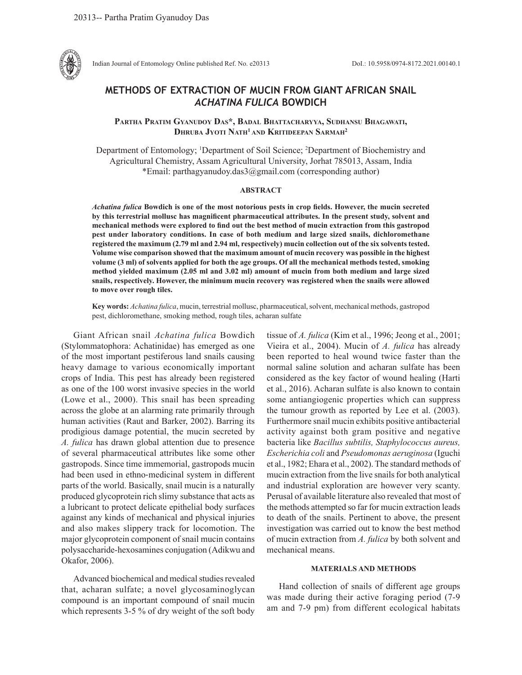

Indian Journal of Entomology Online published Ref. No. e20313 DoI.: 10.5958/0974-8172.2021.00140.1

# **METHODS OF EXTRACTION OF MUCIN FROM GIANT AFRICAN SNAIL** *ACHATINA FULICA* **BOWDICH**

**Partha Pratim Gyanudoy Das\*, Badal Bhattacharyya, Sudhansu Bhagawati, Dhruba Jyoti Nath1 and Kritideepan Sarmah2**

Department of Entomology; 1 Department of Soil Science; 2 Department of Biochemistry and Agricultural Chemistry, Assam Agricultural University, Jorhat 785013, Assam, India \*Email: parthagyanudoy.das3@gmail.com (corresponding author)

### **ABSTRACT**

*Achatina fulica* **Bowdich is one of the most notorious pests in crop fields. However, the mucin secreted by this terrestrial mollusc has magnificent pharmaceutical attributes. In the present study, solvent and mechanical methods were explored to find out the best method of mucin extraction from this gastropod pest under laboratory conditions. In case of both medium and large sized snails, dichloromethane registered the maximum (2.79 ml and 2.94 ml, respectively) mucin collection out of the six solvents tested. Volume wise comparison showed that the maximum amount of mucin recovery was possible in the highest volume (3 ml) of solvents applied for both the age groups. Of all the mechanical methods tested, smoking method yielded maximum (2.05 ml and 3.02 ml) amount of mucin from both medium and large sized snails, respectively. However, the minimum mucin recovery was registered when the snails were allowed to move over rough tiles.**

**Key words:** *Achatina fulica*, mucin, terrestrial mollusc, pharmaceutical, solvent, mechanical methods, gastropod pest, dichloromethane, smoking method, rough tiles, acharan sulfate

Giant African snail *Achatina fulica* Bowdich (Stylommatophora: Achatinidae) has emerged as one of the most important pestiferous land snails causing heavy damage to various economically important crops of India. This pest has already been registered as one of the 100 worst invasive species in the world (Lowe et al., 2000). This snail has been spreading across the globe at an alarming rate primarily through human activities (Raut and Barker, 2002). Barring its prodigious damage potential, the mucin secreted by *A. fulica* has drawn global attention due to presence of several pharmaceutical attributes like some other gastropods. Since time immemorial, gastropods mucin had been used in ethno-medicinal system in different parts of the world. Basically, snail mucin is a naturally produced glycoprotein rich slimy substance that acts as a lubricant to protect delicate epithelial body surfaces against any kinds of mechanical and physical injuries and also makes slippery track for locomotion. The major glycoprotein component of snail mucin contains polysaccharide-hexosamines conjugation (Adikwu and Okafor, 2006).

Advanced biochemical and medical studies revealed that, acharan sulfate; a novel glycosaminoglycan compound is an important compound of snail mucin which represents 3-5 % of dry weight of the soft body tissue of *A. fulica* (Kim et al., 1996; Jeong et al., 2001; Vieira et al., 2004). Mucin of *A. fulica* has already been reported to heal wound twice faster than the normal saline solution and acharan sulfate has been considered as the key factor of wound healing (Harti et al., 2016). Acharan sulfate is also known to contain some antiangiogenic properties which can suppress the tumour growth as reported by Lee et al. (2003). Furthermore snail mucin exhibits positive antibacterial activity against both gram positive and negative bacteria like *Bacillus subtilis, Staphylococcus aureus, Escherichia coli* and *Pseudomonas aeruginosa* (Iguchi et al., 1982; Ehara et al., 2002). The standard methods of mucin extraction from the live snails for both analytical and industrial exploration are however very scanty. Perusal of available literature also revealed that most of the methods attempted so far for mucin extraction leads to death of the snails. Pertinent to above, the present investigation was carried out to know the best method of mucin extraction from *A. fulica* by both solvent and mechanical means.

## **MATERIALS AND METHODS**

Hand collection of snails of different age groups was made during their active foraging period (7-9 am and 7-9 pm) from different ecological habitats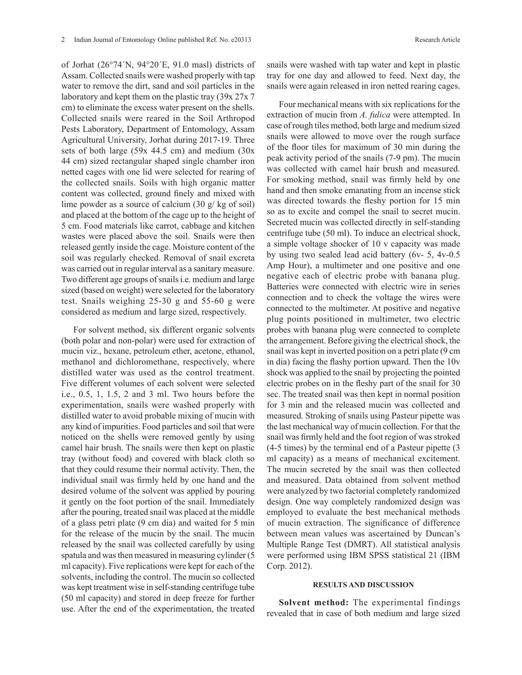of Jorhat (26°74´N, 94°20´E, 91.0 masl) districts of Assam. Collected snails were washed properly with tap water to remove the dirt, sand and soil particles in the laboratory and kept them on the plastic tray (39x 27x 7 cm) to eliminate the excess water present on the shells. Collected snails were reared in the Soil Arthropod Pests Laboratory, Department of Entomology, Assam Agricultural University, Jorhat during 2017-19. Three sets of both large (59x 44.5 cm) and medium (30x 44 cm) sized rectangular shaped single chamber iron netted cages with one lid were selected for rearing of the collected snails. Soils with high organic matter content was collected, ground finely and mixed with lime powder as a source of calcium (30 g/ kg of soil) and placed at the bottom of the cage up to the height of 5 cm. Food materials like carrot, cabbage and kitchen wastes were placed above the soil. Snails were then released gently inside the cage. Moisture content of the soil was regularly checked. Removal of snail excreta was carried out in regular interval as a sanitary measure. Two different age groups of snails i.e. medium and large sized (based on weight) were selected for the laboratory test. Snails weighing 25-30 g and 55-60 g were considered as medium and large sized, respectively.

For solvent method, six different organic solvents (both polar and non-polar) were used for extraction of mucin viz., hexane, petroleum ether, acetone, ethanol, methanol and dichloromethane, respectively, where distilled water was used as the control treatment. Five different volumes of each solvent were selected i.e., 0.5, 1, 1.5, 2 and 3 ml. Two hours before the experimentation, snails were washed properly with distilled water to avoid probable mixing of mucin with any kind of impurities. Food particles and soil that were noticed on the shells were removed gently by using camel hair brush. The snails were then kept on plastic tray (without food) and covered with black cloth so that they could resume their normal activity. Then, the individual snail was firmly held by one hand and the desired volume of the solvent was applied by pouring it gently on the foot portion of the snail. Immediately after the pouring, treated snail was placed at the middle of a glass petri plate (9 cm dia) and waited for 5 min for the release of the mucin by the snail. The mucin released by the snail was collected carefully by using spatula and was then measured in measuring cylinder (5 ml capacity). Five replications were kept for each of the solvents, including the control. The mucin so collected was kept treatment wise in self-standing centrifuge tube (50 ml capacity) and stored in deep freeze for further use. After the end of the experimentation, the treated

Four mechanical means with six replications for the extraction of mucin from *A. fulica* were attempted. In case of rough tiles method, both large and medium sized snails were allowed to move over the rough surface of the floor tiles for maximum of 30 min during the peak activity period of the snails (7-9 pm). The mucin was collected with camel hair brush and measured. For smoking method, snail was firmly held by one hand and then smoke emanating from an incense stick was directed towards the fleshy portion for 15 min so as to excite and compel the snail to secret mucin. Secreted mucin was collected directly in self-standing centrifuge tube (50 ml). To induce an electrical shock, a simple voltage shocker of 10 v capacity was made by using two sealed lead acid battery (6v- 5, 4v-0.5 Amp Hour), a multimeter and one positive and one negative each of electric probe with banana plug. Batteries were connected with electric wire in series connection and to check the voltage the wires were connected to the multimeter. At positive and negative plug points positioned in multimeter, two electric probes with banana plug were connected to complete the arrangement. Before giving the electrical shock, the snail was kept in inverted position on a petri plate (9 cm in dia) facing the flashy portion upward. Then the 10v shock was applied to the snail by projecting the pointed electric probes on in the fleshy part of the snail for 30 sec. The treated snail was then kept in normal position for 3 min and the released mucin was collected and measured. Stroking of snails using Pasteur pipette was the last mechanical way of mucin collection. For that the snail was firmly held and the foot region of was stroked (4-5 times) by the terminal end of a Pasteur pipette (3 ml capacity) as a means of mechanical excitement. The mucin secreted by the snail was then collected and measured. Data obtained from solvent method were analyzed by two factorial completely randomized design. One way completely randomized design was employed to evaluate the best mechanical methods of mucin extraction. The significance of difference between mean values was ascertained by Duncan's Multiple Range Test (DMRT). All statistical analysis were performed using IBM SPSS statistical 21 (IBM Corp. 2012).

#### **RESULTS AND DISCUSSION**

**Solvent method:** The experimental findings revealed that in case of both medium and large sized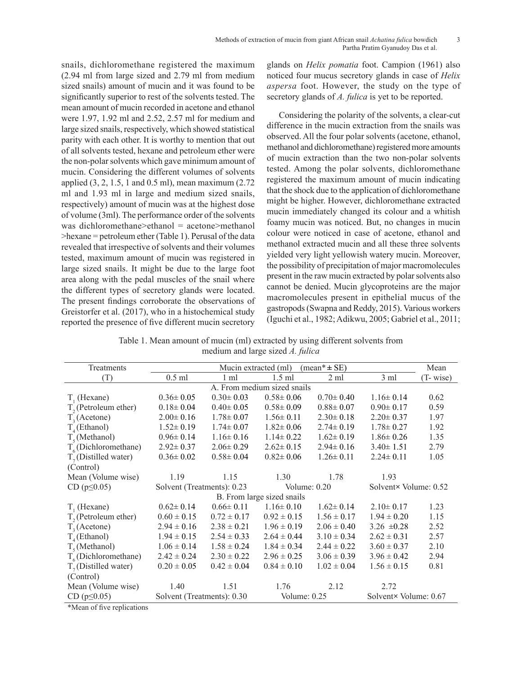snails, dichloromethane registered the maximum (2.94 ml from large sized and 2.79 ml from medium sized snails) amount of mucin and it was found to be significantly superior to rest of the solvents tested. The mean amount of mucin recorded in acetone and ethanol were 1.97, 1.92 ml and 2.52, 2.57 ml for medium and large sized snails, respectively, which showed statistical parity with each other. It is worthy to mention that out of all solvents tested, hexane and petroleum ether were the non-polar solvents which gave minimum amount of mucin. Considering the different volumes of solvents applied (3, 2, 1.5, 1 and 0.5 ml), mean maximum (2.72 ml and 1.93 ml in large and medium sized snails, respectively) amount of mucin was at the highest dose of volume (3ml). The performance order of the solvents was dichloromethane>ethanol = acetone>methanol >hexane = petroleum ether (Table 1). Perusal of the data revealed that irrespective of solvents and their volumes tested, maximum amount of mucin was registered in large sized snails. It might be due to the large foot area along with the pedal muscles of the snail where the different types of secretory glands were located. The present findings corroborate the observations of Greistorfer et al. (2017), who in a histochemical study reported the presence of five different mucin secretory

glands on *Helix pomatia* foot. Campion (1961) also noticed four mucus secretory glands in case of *Helix aspersa* foot. However, the study on the type of secretory glands of *A. fulica* is yet to be reported.

Considering the polarity of the solvents, a clear-cut difference in the mucin extraction from the snails was observed. All the four polar solvents (acetone, ethanol, methanol and dichloromethane) registered more amounts of mucin extraction than the two non-polar solvents tested. Among the polar solvents, dichloromethane registered the maximum amount of mucin indicating that the shock due to the application of dichloromethane might be higher. However, dichloromethane extracted mucin immediately changed its colour and a whitish foamy mucin was noticed. But, no changes in mucin colour were noticed in case of acetone, ethanol and methanol extracted mucin and all these three solvents yielded very light yellowish watery mucin. Moreover, the possibility of precipitation of major macromolecules present in the raw mucin extracted by polar solvents also cannot be denied. Mucin glycoproteins are the major macromolecules present in epithelial mucus of the gastropods (Swapna and Reddy, 2015). Various workers (Iguchi et al., 1982; Adikwu, 2005; Gabriel et al., 2011;

Table 1. Mean amount of mucin (ml) extracted by using different solvents from medium and large sized *A. fulica*

| Treatments                  | Mucin extracted (ml)<br>$mean^* \pm SE)$ |                 |                 |                 |                       |           |  |
|-----------------------------|------------------------------------------|-----------------|-----------------|-----------------|-----------------------|-----------|--|
| (T)                         | $0.5$ ml                                 | 1 ml            | $1.5$ ml        | $2 \text{ ml}$  | 3 ml                  | (T- wise) |  |
| A. From medium sized snails |                                          |                 |                 |                 |                       |           |  |
| $T1$ (Hexane)               | $0.36 \pm 0.05$                          | $0.30 \pm 0.03$ | $0.58 \pm 0.06$ | $0.70 \pm 0.40$ | $1.16 \pm 0.14$       | 0.62      |  |
| $T$ , (Petroleum ether)     | $0.18 \pm 0.04$                          | $0.40 \pm 0.05$ | $0.58 \pm 0.09$ | $0.88 \pm 0.07$ | $0.90 \pm 0.17$       | 0.59      |  |
| $T_{3}$ (Acetone)           | $2.00 \pm 0.16$                          | $1.78 \pm 0.07$ | $1.56 \pm 0.11$ | $2.30 \pm 0.18$ | $2.20 \pm 0.37$       | 1.97      |  |
| $T_{4}$ (Ethanol)           | $1.52 \pm 0.19$                          | $1.74 \pm 0.07$ | $1.82 \pm 0.06$ | $2.74 \pm 0.19$ | $1.78 \pm 0.27$       | 1.92      |  |
| $T_s$ (Methanol)            | $0.96 \pm 0.14$                          | $1.16 \pm 0.16$ | $1.14 \pm 0.22$ | $1.62 \pm 0.19$ | $1.86 \pm 0.26$       | 1.35      |  |
| $T_c$ (Dichloromethane)     | $2.92 \pm 0.37$                          | $2.06 \pm 0.29$ | $2.62 \pm 0.15$ | $2.94 \pm 0.16$ | $3.40 \pm 1.51$       | 2.79      |  |
| $T7$ (Distilled water)      | $0.36 \pm 0.02$                          | $0.58 \pm 0.04$ | $0.82 \pm 0.06$ | $1.26 \pm 0.11$ | $2.24 \pm 0.11$       | 1.05      |  |
| (Control)                   |                                          |                 |                 |                 |                       |           |  |
| Mean (Volume wise)          | 1.19                                     | 1.15            | 1.30            | 1.78            | 1.93                  |           |  |
| $CD (p \le 0.05)$           | Solvent (Treatments): 0.23               |                 | Volume: $0.20$  |                 | Solvent× Volume: 0.52 |           |  |
| B. From large sized snails  |                                          |                 |                 |                 |                       |           |  |
| $T1$ (Hexane)               | $0.62 \pm 0.14$                          | $0.66 \pm 0.11$ | $1.16 \pm 0.10$ | $1.62 \pm 0.14$ | $2.10 \pm 0.17$       | 1.23      |  |
| $T$ , (Petroleum ether)     | $0.60 \pm 0.15$                          | $0.72 \pm 0.17$ | $0.92 \pm 0.15$ | $1.56 \pm 0.17$ | $1.94 \pm 0.20$       | 1.15      |  |
| $T_3$ (Acetone)             | $2.94 \pm 0.16$                          | $2.38 \pm 0.21$ | $1.96 \pm 0.19$ | $2.06 \pm 0.40$ | 3.26 $\pm 0.28$       | 2.52      |  |
| $T_{4}$ (Ethanol)           | $1.94 \pm 0.15$                          | $2.54 \pm 0.33$ | $2.64 \pm 0.44$ | $3.10 \pm 0.34$ | $2.62 \pm 0.31$       | 2.57      |  |
| $Ts$ (Methanol)             | $1.06 \pm 0.14$                          | $1.58 \pm 0.24$ | $1.84 \pm 0.34$ | $2.44 \pm 0.22$ | $3.60 \pm 0.37$       | 2.10      |  |
| $T_c$ (Dichloromethane)     | $2.42 \pm 0.24$                          | $2.30 \pm 0.22$ | $2.96 \pm 0.25$ | $3.06 \pm 0.39$ | $3.96 \pm 0.42$       | 2.94      |  |
| $T7$ (Distilled water)      | $0.20 \pm 0.05$                          | $0.42 \pm 0.04$ | $0.84 \pm 0.10$ | $1.02 \pm 0.04$ | $1.56 \pm 0.15$       | 0.81      |  |
| (Control)                   |                                          |                 |                 |                 |                       |           |  |
| Mean (Volume wise)          | 1.40                                     | 1.51            | 1.76            | 2.12            | 2.72                  |           |  |
| $CD (p \le 0.05)$           | Solvent (Treatments): 0.30               |                 | Volume: $0.25$  |                 | Solvent× Volume: 0.67 |           |  |

\*Mean of five replications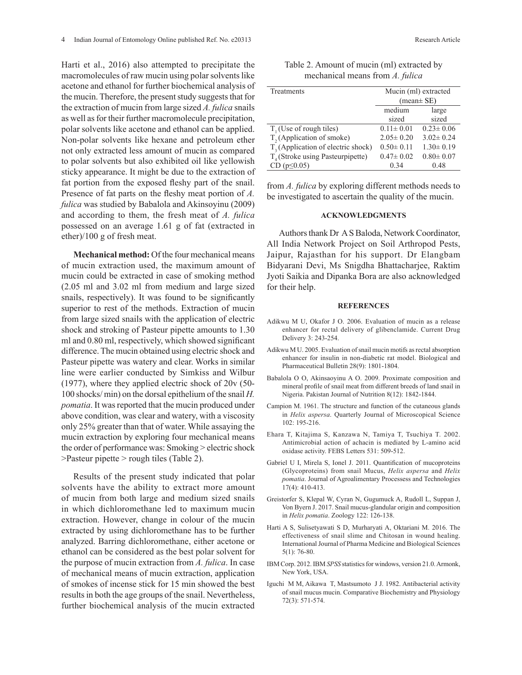Harti et al., 2016) also attempted to precipitate the macromolecules of raw mucin using polar solvents like acetone and ethanol for further biochemical analysis of the mucin. Therefore, the present study suggests that for the extraction of mucin from large sized *A. fulica* snails as well as for their further macromolecule precipitation, polar solvents like acetone and ethanol can be applied. Non-polar solvents like hexane and petroleum ether not only extracted less amount of mucin as compared to polar solvents but also exhibited oil like yellowish sticky appearance. It might be due to the extraction of fat portion from the exposed fleshy part of the snail. Presence of fat parts on the fleshy meat portion of *A. fulica* was studied by Babalola and Akinsoyinu (2009) and according to them, the fresh meat of *A. fulica* possessed on an average 1.61 g of fat (extracted in ether)/100 g of fresh meat.

**Mechanical method:** Of the four mechanical means of mucin extraction used, the maximum amount of mucin could be extracted in case of smoking method (2.05 ml and 3.02 ml from medium and large sized snails, respectively). It was found to be significantly superior to rest of the methods. Extraction of mucin from large sized snails with the application of electric shock and stroking of Pasteur pipette amounts to 1.30 ml and 0.80 ml, respectively, which showed significant difference. The mucin obtained using electric shock and Pasteur pipette was watery and clear. Works in similar line were earlier conducted by Simkiss and Wilbur (1977), where they applied electric shock of 20v (50- 100 shocks/ min) on the dorsal epithelium of the snail *H. pomatia*. It was reported that the mucin produced under above condition, was clear and watery, with a viscosity only 25% greater than that of water. While assaying the mucin extraction by exploring four mechanical means the order of performance was: Smoking > electric shock >Pasteur pipette > rough tiles (Table 2).

Results of the present study indicated that polar solvents have the ability to extract more amount of mucin from both large and medium sized snails in which dichloromethane led to maximum mucin extraction. However, change in colour of the mucin extracted by using dichloromethane has to be further analyzed. Barring dichloromethane, either acetone or ethanol can be considered as the best polar solvent for the purpose of mucin extraction from *A. fulica*. In case of mechanical means of mucin extraction, application of smokes of incense stick for 15 min showed the best results in both the age groups of the snail. Nevertheless, further biochemical analysis of the mucin extracted

Table 2. Amount of mucin (ml) extracted by mechanical means from *A. fulica*

| Treatments                            | Mucin (ml) extracted |                 |  |
|---------------------------------------|----------------------|-----------------|--|
|                                       | $(mean \pm SE)$      |                 |  |
|                                       | medium               | large           |  |
|                                       | sized                | sized           |  |
| $T1$ (Use of rough tiles)             | $0.11 \pm 0.01$      | $0.23 \pm 0.06$ |  |
| T <sub>2</sub> (Application of smoke) | $2.05 \pm 0.20$      | $3.02 \pm 0.24$ |  |
| $T3$ (Application of electric shock)  | $0.50 \pm 0.11$      | $1.30 \pm 0.19$ |  |
| $T_{4}$ (Stroke using Pasteurpipette) | $0.47 \pm 0.02$      | $0.80 \pm 0.07$ |  |
| $CD (p \le 0.05)$                     | 0.34                 | 0.48            |  |

from *A. fulica* by exploring different methods needs to be investigated to ascertain the quality of the mucin.

## **ACKNOWLEDGMENTS**

Authors thank Dr A S Baloda, Network Coordinator, All India Network Project on Soil Arthropod Pests, Jaipur, Rajasthan for his support. Dr Elangbam Bidyarani Devi, Ms Snigdha Bhattacharjee, Raktim Jyoti Saikia and Dipanka Bora are also acknowledged for their help.

#### **REFERENCES**

- Adikwu M U, Okafor J O. 2006. Evaluation of mucin as a release enhancer for rectal delivery of glibenclamide. Current Drug Delivery 3: 243-254.
- Adikwu M U. 2005. Evaluation of snail mucin motifs as rectal absorption enhancer for insulin in non-diabetic rat model. Biological and Pharmaceutical Bulletin 28(9): 1801-1804.
- Babalola O O, Akinsaoyinu A O. 2009. Proximate composition and mineral profile of snail meat from different breeds of land snail in Nigeria. Pakistan Journal of Nutrition 8(12): 1842-1844.
- Campion M. 1961. The structure and function of the cutaneous glands in *Helix aspersa*. Quarterly Journal of Microscopical Science 102: 195-216.
- Ehara T, Kitajima S, Kanzawa N, Tamiya T, Tsuchiya T. 2002. Antimicrobial action of achacin is mediated by L-amino acid oxidase activity. FEBS Letters 531: 509-512.
- Gabriel U I, Mirela S, Ionel J. 2011. Quantification of mucoproteins (Glycoproteins) from snail Mucus, *Helix aspersa* and *Helix pomatia*. Journal of Agroalimentary Processess and Technologies 17(4): 410-413.
- Greistorfer S, Klepal W, Cyran N, Gugumuck A, Rudoll L, Suppan J, Von Byern J. 2017. Snail mucus-glandular origin and composition in *Helix pomatia*. Zoology 122: 126-138.
- Harti A S, Sulisetyawati S D, Murharyati A, Oktariani M. 2016. The effectiveness of snail slime and Chitosan in wound healing. International Journal of Pharma Medicine and Biological Sciences 5(1): 76-80.
- IBM Corp. 2012. IBM *SPSS* statistics for windows, version 21.0. Armonk, New York, USA.
- Iguchi M M, Aikawa T, Mastsumoto J J. 1982. Antibacterial activity of snail mucus mucin. Comparative Biochemistry and Physiology 72(3): 571-574.